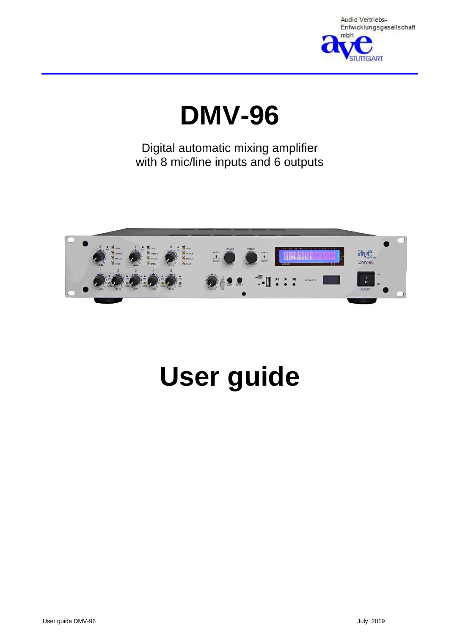

# **DMV-96**

Digital automatic mixing amplifier with 8 mic/line inputs and 6 outputs



# **User guide**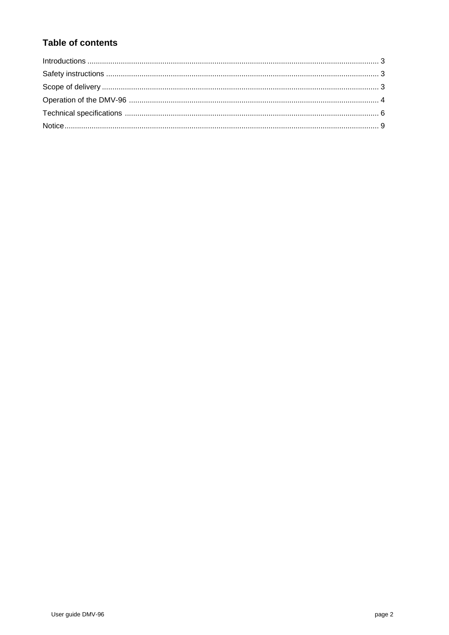# **Table of contents**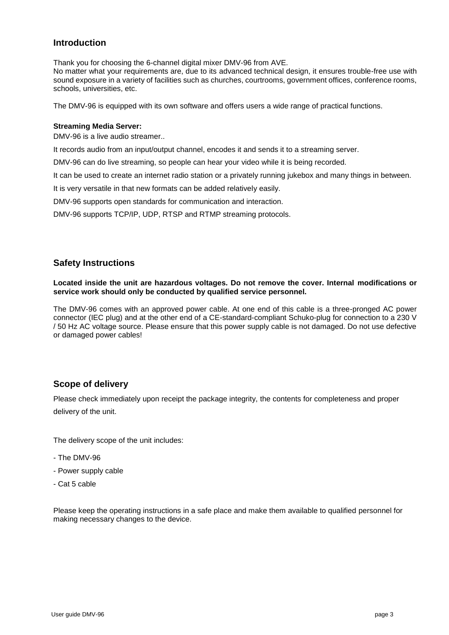# **Introduction**

Thank you for choosing the 6-channel digital mixer DMV-96 from AVE.

No matter what your requirements are, due to its advanced technical design, it ensures trouble-free use with sound exposure in a variety of facilities such as churches, courtrooms, government offices, conference rooms, schools, universities, etc.

The DMV-96 is equipped with its own software and offers users a wide range of practical functions.

#### **Streaming Media Server:**

DMV-96 is a live audio streamer..

It records audio from an input/output channel, encodes it and sends it to a streaming server.

DMV-96 can do live streaming, so people can hear your video while it is being recorded.

It can be used to create an internet radio station or a privately running jukebox and many things in between.

It is very versatile in that new formats can be added relatively easily.

DMV-96 supports open standards for communication and interaction.

DMV-96 supports TCP/IP, UDP, RTSP and RTMP streaming protocols.

# **Safety Instructions**

**Located inside the unit are hazardous voltages. Do not remove the cover. Internal modifications or service work should only be conducted by qualified service personnel.**

The DMV-96 comes with an approved power cable. At one end of this cable is a three-pronged AC power connector (IEC plug) and at the other end of a CE-standard-compliant Schuko-plug for connection to a 230 V / 50 Hz AC voltage source. Please ensure that this power supply cable is not damaged. Do not use defective or damaged power cables!

# **Scope of delivery**

Please check immediately upon receipt the package integrity, the contents for completeness and proper delivery of the unit.

The delivery scope of the unit includes:

- The DMV-96
- Power supply cable
- Cat 5 cable

Please keep the operating instructions in a safe place and make them available to qualified personnel for making necessary changes to the device.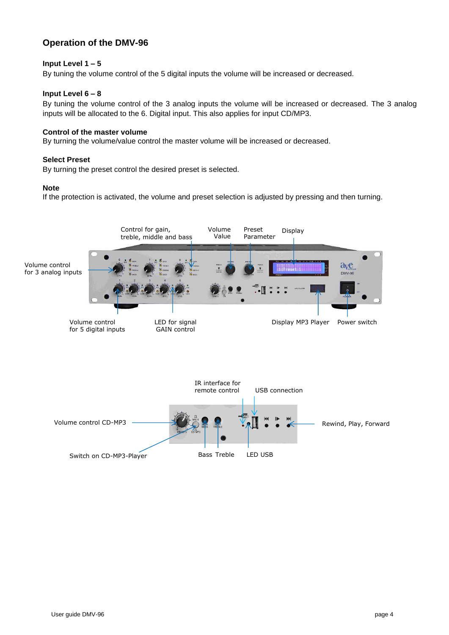# **Operation of the DMV-96**

# **Input Level 1 – 5**

By tuning the volume control of the 5 digital inputs the volume will be increased or decreased.

# **Input Level 6 – 8**

By tuning the volume control of the 3 analog inputs the volume will be increased or decreased. The 3 analog inputs will be allocated to the 6. Digital input. This also applies for input CD/MP3.

#### **Control of the master volume**

By turning the volume/value control the master volume will be increased or decreased.

#### **Select Preset**

By turning the preset control the desired preset is selected.

#### **Note**

If the protection is activated, the volume and preset selection is adjusted by pressing and then turning.

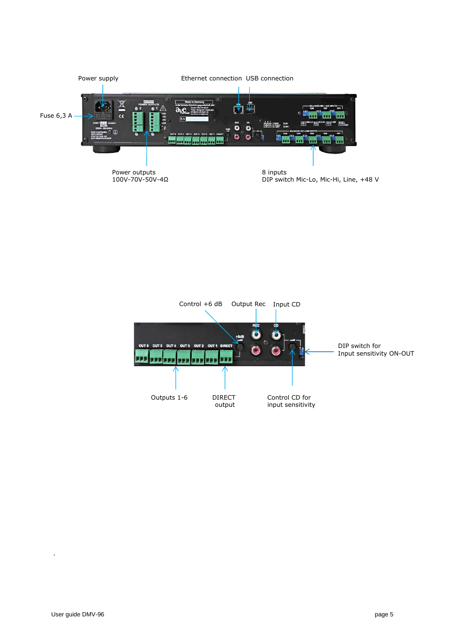



.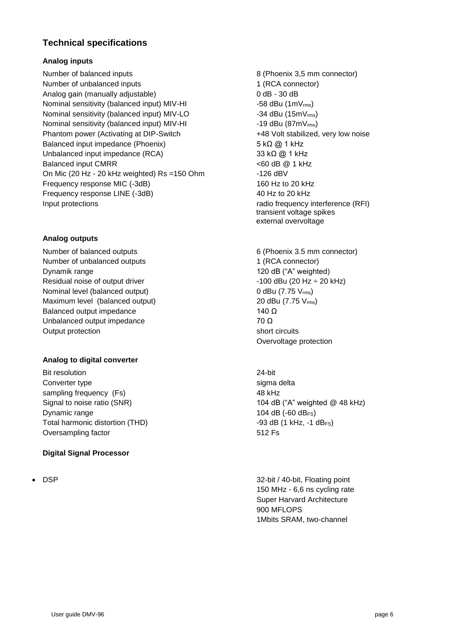# **Technical specifications**

# **Analog inputs**

Number of balanced inputs and the state of the state 8 (Phoenix 3.5 mm connector) Number of unbalanced inputs 1 (RCA connector) Analog gain (manually adjustable) 0 dB - 30 dB Nominal sensitivity (balanced input)  $MIV-HI$   $-58$  dBu (1m $V_{rms}$ ) Nominal sensitivity (balanced input) MIV-LO  $-34$  dBu (15mV<sub>rms</sub>) Nominal sensitivity (balanced input) MIV-HI -19 dBu (87mV<sub>rms</sub>) Phantom power (Activating at DIP-Switch  $+48$  Volt stabilized, very low noise Balanced input impedance (Phoenix) 5 kΩ @ 1 kHz Unbalanced input impedance (RCA) 33 kΩ @ 1 kHz Balanced input CMRR  $\leq 60$  dB @ 1 kHz On Mic (20 Hz - 20 kHz weighted) Rs =150 Ohm -126 dBV Frequency response MIC (-3dB) 160 Hz to 20 kHz Frequency response LINE (-3dB) 40 Hz to 20 kHz Input protections radio frequency interference (RFI)

# **Analog outputs**

Number of balanced outputs 6 (Phoenix 3.5 mm connector) Number of unbalanced outputs 1 (RCA connector) Dynamik range 120 dB ("A" weighted) Residual noise of output driver  $-100$  dBu (20 Hz  $\div$  20 kHz) Nominal level (balanced output) 0 dBu (7.75 V<sub>rms</sub>) Maximum level (balanced output) 20 dBu (7.75 V<sub>rms</sub>) Balanced output impedance 140  $\Omega$ Unbalanced output impedance  $70 \Omega$ Output protection short circuits

# **Analog to digital converter**

Bit resolution 24-bit Converter type sigma delta sampling frequency (Fs) 48 kHz Dynamic range  $104 \text{ dB}$  (-60 dB<sub>FS</sub>) Total harmonic distortion (THD)  $-93$  dB (1 kHz, -1 dB<sub>FS</sub>) Oversampling factor 612 Fs

# **Digital Signal Processor**

transient voltage spikes external overvoltage

Overvoltage protection

Signal to noise ratio (SNR) 104 dB ("A" weighted @ 48 kHz)

• DSP 32-bit / 40-bit, Floating point 150 MHz - 6,6 ns cycling rate Super Harvard Architecture 900 MFLOPS 1Mbits SRAM, two-channel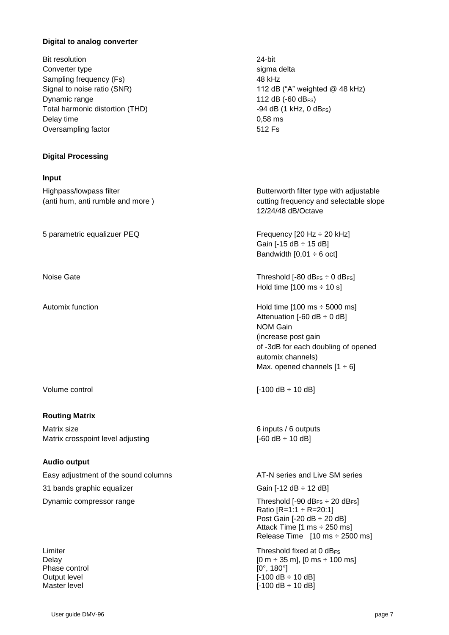#### **Digital to analog converter**

| <b>Bit resolution</b>           | 24-bit    |
|---------------------------------|-----------|
| Converter type                  | sigma d   |
| Sampling frequency (Fs)         | 48 kHz    |
| Signal to noise ratio (SNR)     | 112 $dB$  |
| Dynamic range                   | 112 $dB$  |
| Total harmonic distortion (THD) | -94 dB (  |
| Delay time                      | $0,58$ ms |
| Oversampling factor             | 512 Fs    |

#### **Digital Processing**

#### **Input**

5 parametric equalizuer PEQ Frequency [20 Hz  $\div$  20 kHz]

#### **Routing Matrix**

Matrix size 6 inputs / 6 outputs / 6 outputs / 6 outputs / 6 outputs / 6 outputs / 6 outputs / 6 outputs / 6 outputs /  $6 \text{ m}$ Matrix crosspoint level adjusting  $[-60 \text{ dB} \div 10 \text{ dB}]$ 

# **Audio output**

Easy adjustment of the sound columns **AT-N** series and Live SM series 31 bands graphic equalizer  $\overline{S}$  =  $\overline{S}$  =  $\overline{S}$  =  $\overline{S}$  =  $\overline{S}$  =  $\overline{S}$  =  $\overline{S}$  =  $\overline{S}$  =  $\overline{S}$  =  $\overline{S}$  =  $\overline{S}$  =  $\overline{S}$  =  $\overline{S}$  =  $\overline{S}$  =  $\overline{S}$  =  $\overline{S}$  =  $\overline{S}$  =  $\overline{S}$ Dynamic compressor range Threshold [-90 dB<sub>FS</sub>  $\div$  20 dB<sub>FS</sub>]

Phase control [0°, 180°]

sigma delta 112 dB ("A" weighted  $@$  48 kHz) 112 dB  $(-60$  dB $_{FS})$ -94 dB (1 kHz, 0 dBFs)

Highpass/lowpass filter **Butterworth filter type with adjustable** (anti hum, anti rumble and more ) cutting frequency and selectable slope 12/24/48 dB/Octave

> Gain  $[-15$  dB  $\div$  15 dB] Bandwidth  $[0,01 \div 6$  oct]

Noise Gate **Threshold [-80 dBFS**  $\div$  0 dBFS] Hold time  $[100 \text{ ms} \div 10 \text{ s}]$ 

Automix function **Automix function Hold time [100 ms** ÷ 5000 ms] Attenuation  $[-60 \text{ dB} \div 0 \text{ dB}]$ NOM Gain (increase post gain of -3dB for each doubling of opened automix channels) Max. opened channels  $[1 \div 6]$ 

Volume control [-100 dB ÷ 10 dB]

Ratio  $[R=1:1 \div R=20:1]$ Post Gain [-20 dB ÷ 20 dB] Attack Time [1 ms ÷ 250 ms] Release Time  $[10 \text{ ms} \div 2500 \text{ ms}]$ Limiter **Threshold fixed at 0 dB**FS

Delay [0 m ÷ 35 m], [0 ms ÷ 100 ms] Output level **COULD COULD COULD COULD COULD COULD** [-100 dB ÷ 10 dB] Master level  $[-100 \text{ dB} \div 10 \text{ dB}]$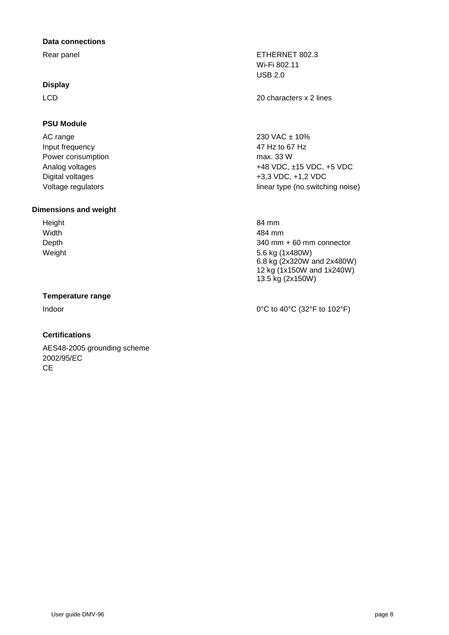#### **Data connections**

# **Display**

# **PSU Module**

 $AC$  range  $230 \text{ VAC} \pm 10\%$ Input frequency 47 Hz to 67 Hz Power consumption max. 33 W

# **Dimensions and weight**

Height 84 mm

# **Temperature range**

# **Certifications**

AES48-2005 grounding scheme 2002/95/EC **CE** 

Rear panel **ETHERNET 802.3** Wi-Fi 802.11 USB 2.0

LCD 20 characters x 2 lines

Analog voltages +48 VDC, ±15 VDC, +5 VDC Digital voltages  $+3,3$  VDC,  $+1,2$  VDC Voltage regulators and the linear type (no switching noise)

Width 484 mm Depth 340 mm + 60 mm connector Weight 5.6 kg (1x480W) 6.8 kg (2x320W and 2x480W) 12 kg (1x150W and 1x240W) 13.5 kg (2x150W)

Indoor  $0^{\circ}$ C to 40°C (32°F to 102°F)